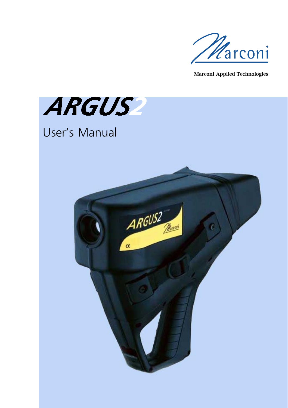

Marconi Applied Technologies



## User's Manual

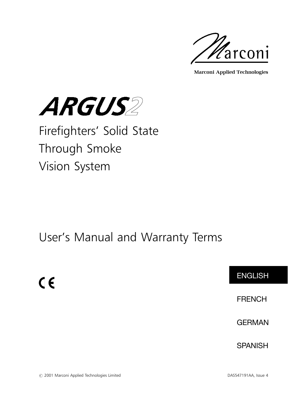

Marconi Applied Technologies



## Firefighters' Solid State Through Smoke Vision System

### User's Manual and Warranty Terms



# 2001 Marconi Applied Technologies Limited DAS547191AA, Issue 4

 $C \in$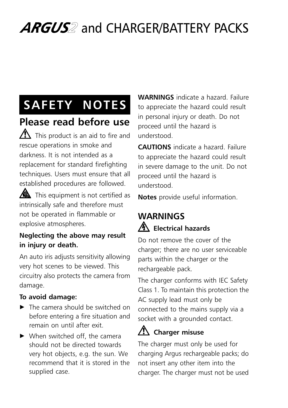## ARGUS<sup>2</sup> and CHARGER/BATTERY PACKS

## SAFETY NOTES

### Please read before use

 $\sum$  This product is an aid to fire and rescue operations in smoke and darkness. It is not intended as a replacement for standard firefighting techniques. Users must ensure that all established procedures are followed.

 $\triangle$  This equipment is not certified as intrinsically safe and therefore must not be operated in flammable or explosive atmospheres.

#### Neglecting the above may result in injury or death.

An auto iris adjusts sensitivity allowing very hot scenes to be viewed. This circuitry also protects the camera from damage.

#### To avoid damage:

- $\blacktriangleright$  The camera should be switched on before entering a fire situation and remain on until after exit.
- $\blacktriangleright$  When switched off, the camera should not be directed towards very hot objects, e.g. the sun. We recommend that it is stored in the supplied case.

WARNINGS indicate a hazard. Failure to appreciate the hazard could result in personal injury or death. Do not proceed until the hazard is understood.

CAUTIONS indicate a hazard. Failure to appreciate the hazard could result in severe damage to the unit. Do not proceed until the hazard is understood.

Notes provide useful information.

### WARNINGS **A** Electrical hazards

Do not remove the cover of the charger; there are no user serviceable parts within the charger or the rechargeable pack.

The charger conforms with IEC Safety Class 1. To maintain this protection the AC supply lead must only be connected to the mains supply via a socket with a grounded contact.

#### $\sqrt{\phantom{a}}$  Charger misuse

The charger must only be used for charging Argus rechargeable packs; do not insert any other item into the charger. The charger must not be used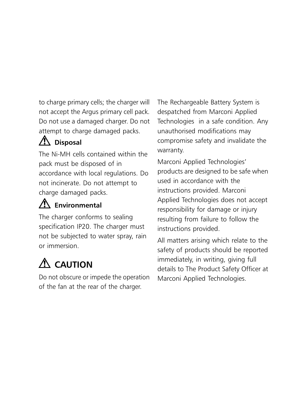to charge primary cells; the charger will not accept the Argus primary cell pack. Do not use a damaged charger. Do not attempt to charge damaged packs.

### $\Delta$  Disposal

The Ni-MH cells contained within the pack must be disposed of in accordance with local regulations. Do not incinerate. Do not attempt to charge damaged packs.

### $\Lambda$  Environmental

The charger conforms to sealing specification IP20. The charger must not be subjected to water spray, rain or immersion.

## $\Lambda$  CAUTION

Do not obscure or impede the operation of the fan at the rear of the charger.

The Rechargeable Battery System is despatched from Marconi Applied Technologies in a safe condition. Any unauthorised modifications may compromise safety and invalidate the warranty.

Marconi Applied Technologies' products are designed to be safe when used in accordance with the instructions provided. Marconi Applied Technologies does not accept responsibility for damage or injury resulting from failure to follow the instructions provided.

All matters arising which relate to the safety of products should be reported immediately, in writing, giving full details to The Product Safety Officer at Marconi Applied Technologies.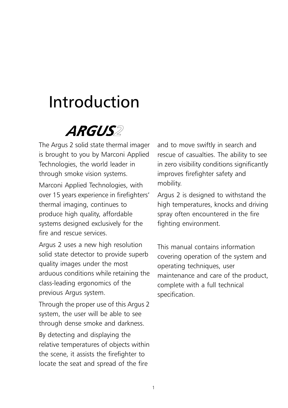## Introduction



The Argus 2 solid state thermal imager is brought to you by Marconi Applied Technologies, the world leader in through smoke vision systems.

Marconi Applied Technologies, with over 15 years experience in firefighters' thermal imaging, continues to produce high quality, affordable systems designed exclusively for the fire and rescue services.

Argus 2 uses a new high resolution solid state detector to provide superb quality images under the most arduous conditions while retaining the class-leading ergonomics of the previous Argus system.

Through the proper use of this Argus 2 system, the user will be able to see through dense smoke and darkness. By detecting and displaying the relative temperatures of objects within the scene, it assists the firefighter to locate the seat and spread of the fire

and to move swiftly in search and rescue of casualties. The ability to see in zero visibility conditions significantly improves firefighter safety and mobility.

Argus 2 is designed to withstand the high temperatures, knocks and driving spray often encountered in the fire fighting environment.

This manual contains information covering operation of the system and operating techniques, user maintenance and care of the product, complete with a full technical specification.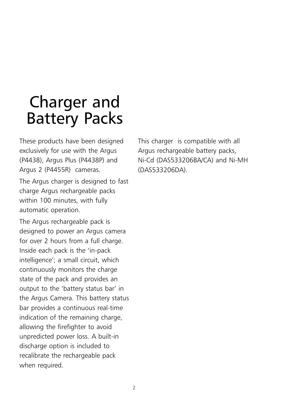## Charger and Battery Packs

These products have been designed exclusively for use with the Argus (P4438), Argus Plus (P4438P) and Argus 2 (P4455R) cameras.

The Argus charger is designed to fast charge Argus rechargeable packs within 100 minutes, with fully automatic operation.

The Argus rechargeable pack is designed to power an Argus camera for over 2 hours from a full charge. Inside each pack is the 'in-pack intelligence'; a small circuit, which continuously monitors the charge state of the pack and provides an output to the 'battery status bar' in the Argus Camera. This battery status bar provides a continuous real-time indication of the remaining charge, allowing the firefighter to avoid unpredicted power loss. A built-in discharge option is included to recalibrate the rechargeable pack when required.

This charger is compatible with all Argus rechargeable battery packs, Ni-Cd (DAS533206BA/CA) and Ni-MH (DAS533206DA).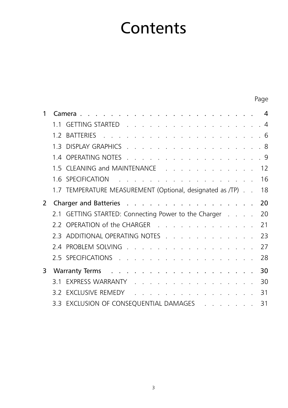## **Contents**

Page

|                | GETTING STARTED 4<br>11                                                                                         |    |
|----------------|-----------------------------------------------------------------------------------------------------------------|----|
|                |                                                                                                                 |    |
|                | 1.3 DISPLAY GRAPHICS 8                                                                                          |    |
|                | 1.4 OPERATING NOTES 9                                                                                           |    |
|                | 1.5 CLEANING and MAINTENANCE 12                                                                                 |    |
|                |                                                                                                                 | 16 |
|                | 1.7 TEMPERATURE MEASUREMENT (Optional, designated as /TP) 18                                                    |    |
| $\overline{2}$ | Charger and Batteries                                                                                           | 20 |
|                | 2.1 GETTING STARTED: Connecting Power to the Charger                                                            | 20 |
|                | 2.2 OPERATION of the CHARGER                                                                                    | 21 |
|                | 2.3 ADDITIONAL OPERATING NOTES                                                                                  | 23 |
|                | 2.4 PROBLEM SOLVING                                                                                             | 27 |
|                | 2.5 SPECIFICATIONS                                                                                              | 28 |
| 3              | Warranty Terms research and research and research in the set of the Warranty Terms                              | 30 |
|                | 3.1 EXPRESS WARRANTY                                                                                            | 30 |
|                | 3.2 EXCLUSIVE REMEDY The Annual Article And Article And Article Article Article Article Article Article Article | 31 |
|                | 3.3 EXCLUSION OF CONSEQUENTIAL DAMAGES                                                                          | 31 |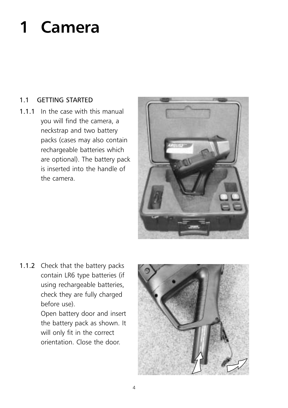# 1 Camera

#### 1.1 GETTING STARTED

1.1.1 In the case with this manual you will find the camera, a neckstrap and two battery packs (cases may also contain rechargeable batteries which are optional). The battery pack is inserted into the handle of the camera.



1.1.2 Check that the battery packs contain LR6 type batteries (if using rechargeable batteries, check they are fully charged before use).

> Open battery door and insert the battery pack as shown. It will only fit in the correct orientation. Close the door.

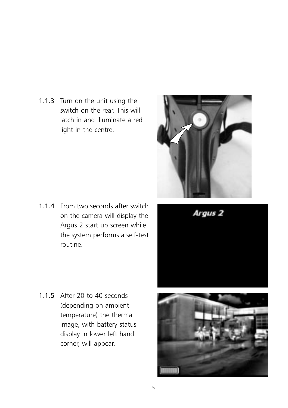1.1.3 Turn on the unit using the switch on the rear. This will latch in and illuminate a red light in the centre.

1.1.4 From two seconds after switch on the camera will display the Argus 2 start up screen while the system performs a self-test routine.



Argus<sub>2</sub>



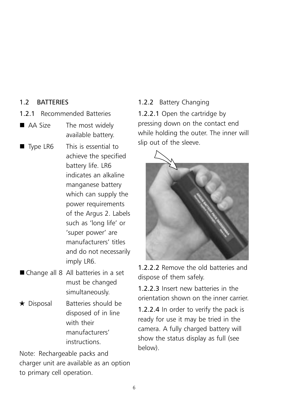#### 1.2 BATTERIES

- 1.2.1 Recommended Batteries
- AA Size The most widely available battery.
- Type LR6 This is essential to achieve the specified battery life. LR6 indicates an alkaline manganese battery which can supply the power requirements of the Argus 2. Labels such as 'long life' or 'super power' are manufacturers' titles and do not necessarily imply LR6.
- Change all 8 All batteries in a set must be changed simultaneously.
- $\star$  Disposal Batteries should be disposed of in line with their manufacturers' instructions.

Note: Rechargeable packs and charger unit are available as an option to primary cell operation.

#### 1.2.2 Battery Changing

1.2.2.1 Open the cartridge by pressing down on the contact end while holding the outer. The inner will slip out of the sleeve.



1.2.2.2 Remove the old batteries and dispose of them safely.

1.2.2.3 Insert new batteries in the orientation shown on the inner carrier.

1.2.2.4 In order to verify the pack is ready for use it may be tried in the camera. A fully charged battery will show the status display as full (see below).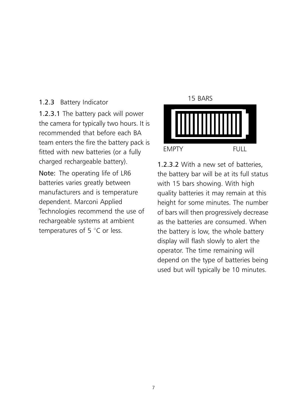#### 1.2.3 Battery Indicator

1.2.3.1 The battery pack will power the camera for typically two hours. It is recommended that before each BA team enters the fire the battery pack is fitted with new batteries (or a fully charged rechargeable battery). Note: The operating life of LR6 batteries varies greatly between manufacturers and is temperature dependent. Marconi Applied Technologies recommend the use of rechargeable systems at ambient

temperatures of 5  $\degree$ C or less.



1.2.3.2 With a new set of batteries, the battery bar will be at its full status with 15 bars showing. With high quality batteries it may remain at this height for some minutes. The number of bars will then progressively decrease as the batteries are consumed. When the battery is low, the whole battery display will flash slowly to alert the operator. The time remaining will depend on the type of batteries being used but will typically be 10 minutes.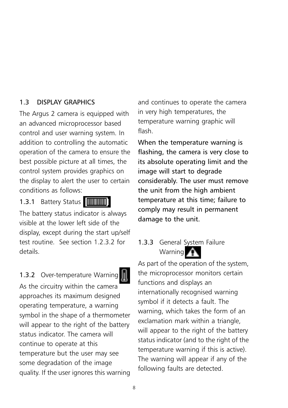#### 1.3 DISPLAY GRAPHICS

The Argus 2 camera is equipped with an advanced microprocessor based control and user warning system. In addition to controlling the automatic operation of the camera to ensure the best possible picture at all times, the control system provides graphics on the display to alert the user to certain conditions as follows:

1.3.1 Battery Status [THEREEN]

The battery status indicator is always

visible at the lower left side of the display, except during the start up/self test routine. See section 1.2.3.2 for details.

#### 1.3.2 Over-temperature Warning

As the circuitry within the camera approaches its maximum designed operating temperature, a warning symbol in the shape of a thermometer will appear to the right of the battery status indicator. The camera will continue to operate at this temperature but the user may see some degradation of the image quality. If the user ignores this warning

and continues to operate the camera in very high temperatures, the temperature warning graphic will flash.

When the temperature warning is flashing, the camera is very close to its absolute operating limit and the image will start to degrade considerably. The user must remove the unit from the high ambient temperature at this time; failure to comply may result in permanent damage to the unit.

1.3.3 General System Failure Warning

As part of the operation of the system, the microprocessor monitors certain functions and displays an internationally recognised warning symbol if it detects a fault. The warning, which takes the form of an exclamation mark within a triangle, will appear to the right of the battery status indicator (and to the right of the temperature warning if this is active). The warning will appear if any of the following faults are detected.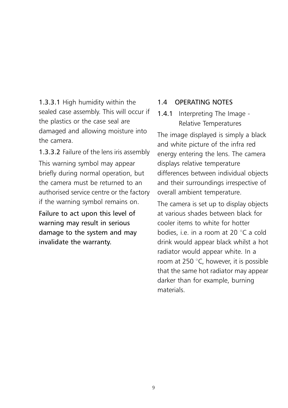1.3.3.1 High humidity within the sealed case assembly. This will occur if the plastics or the case seal are damaged and allowing moisture into the camera.

1.3.3.2 Failure of the lens iris assembly This warning symbol may appear briefly during normal operation, but the camera must be returned to an authorised service centre or the factory if the warning symbol remains on.

Failure to act upon this level of warning may result in serious damage to the system and may invalidate the warranty.

#### 1.4 OPERATING NOTES

1.4.1 Interpreting The Image - Relative Temperatures

The image displayed is simply a black and white picture of the infra red energy entering the lens. The camera displays relative temperature differences between individual objects and their surroundings irrespective of overall ambient temperature.

The camera is set up to display objects at various shades between black for cooler items to white for hotter bodies, i.e. in a room at 20 $\degree$ C a cold drink would appear black whilst a hot radiator would appear white. In a room at 250 $\degree$ C, however, it is possible that the same hot radiator may appear darker than for example, burning materials.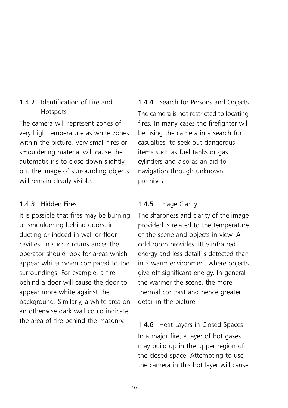#### 1.4.2 Identification of Fire and Hotspots

The camera will represent zones of very high temperature as white zones within the picture. Very small fires or smouldering material will cause the automatic iris to close down slightly but the image of surrounding objects will remain clearly visible.

#### 1.4.3 Hidden Fires

It is possible that fires may be burning or smouldering behind doors, in ducting or indeed in wall or floor cavities. In such circumstances the operator should look for areas which appear whiter when compared to the surroundings. For example, a fire behind a door will cause the door to appear more white against the background. Similarly, a white area on an otherwise dark wall could indicate the area of fire behind the masonry.

1.4.4 Search for Persons and Objects The camera is not restricted to locating fires. In many cases the firefighter will be using the camera in a search for casualties, to seek out dangerous items such as fuel tanks or gas cylinders and also as an aid to navigation through unknown premises.

#### 1.4.5 Image Clarity

The sharpness and clarity of the image provided is related to the temperature of the scene and objects in view. A cold room provides little infra red energy and less detail is detected than in a warm environment where objects give off significant energy. In general the warmer the scene, the more thermal contrast and hence greater detail in the picture.

1.4.6 Heat Layers in Closed Spaces In a major fire, a layer of hot gases may build up in the upper region of the closed space. Attempting to use the camera in this hot layer will cause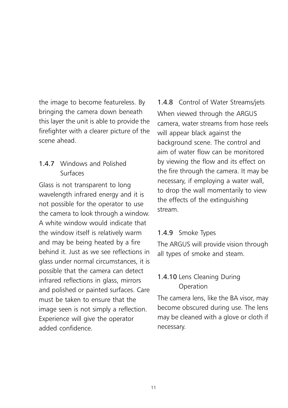the image to become featureless. By bringing the camera down beneath this layer the unit is able to provide the firefighter with a clearer picture of the scene ahead.

#### 1.4.7 Windows and Polished Surfaces

Glass is not transparent to long wavelength infrared energy and it is not possible for the operator to use the camera to look through a window. A white window would indicate that the window itself is relatively warm and may be being heated by a fire behind it. Just as we see reflections in glass under normal circumstances, it is possible that the camera can detect infrared reflections in glass, mirrors and polished or painted surfaces. Care must be taken to ensure that the image seen is not simply a reflection. Experience will give the operator added confidence.

1.4.8 Control of Water Streams/jets When viewed through the ARGUS camera, water streams from hose reels will appear black against the background scene. The control and aim of water flow can be monitored by viewing the flow and its effect on the fire through the camera. It may be necessary, if employing a water wall, to drop the wall momentarily to view the effects of the extinguishing stream.

#### 1.4.9 Smoke Types

The ARGUS will provide vision through all types of smoke and steam.

#### 1.4.10 Lens Cleaning During **Operation**

The camera lens, like the BA visor, may become obscured during use. The lens may be cleaned with a glove or cloth if necessary.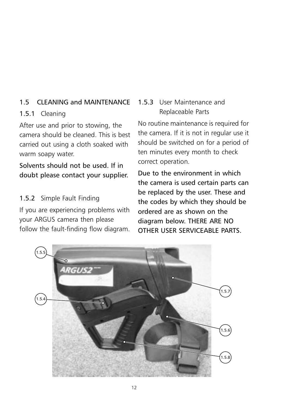#### 1.5 CLEANING and MAINTENANCE

#### 1.5.1 Cleaning

After use and prior to stowing, the camera should be cleaned. This is best carried out using a cloth soaked with warm soapy water.

Solvents should not be used. If in doubt please contact your supplier.

#### 1.5.2 Simple Fault Finding

If you are experiencing problems with your ARGUS camera then please follow the fault-finding flow diagram.

#### 1.5.3 User Maintenance and Replaceable Parts

No routine maintenance is required for the camera. If it is not in regular use it should be switched on for a period of ten minutes every month to check correct operation.

Due to the environment in which the camera is used certain parts can be replaced by the user. These and the codes by which they should be ordered are as shown on the diagram below. THERE ARE NO OTHER USER SERVICEABLE PARTS.

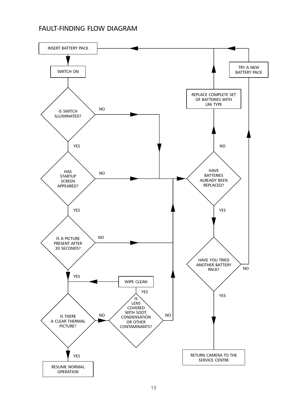#### FAULT-FINDING FLOW DIAGRAM

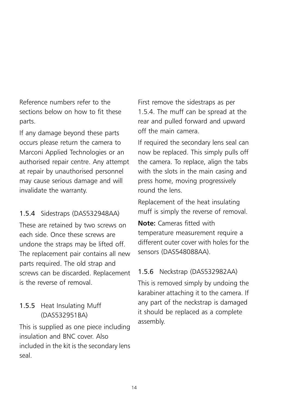Reference numbers refer to the sections below on how to fit these parts.

If any damage beyond these parts occurs please return the camera to Marconi Applied Technologies or an authorised repair centre. Any attempt at repair by unauthorised personnel may cause serious damage and will invalidate the warranty.

#### 1.5.4 Sidestraps (DAS532948AA)

These are retained by two screws on each side. Once these screws are undone the straps may be lifted off. The replacement pair contains all new parts required. The old strap and screws can be discarded. Replacement is the reverse of removal.

#### 1.5.5 Heat Insulating Muff (DAS532951BA)

This is supplied as one piece including insulation and BNC cover. Also included in the kit is the secondary lens seal.

First remove the sidestraps as per 1.5.4. The muff can be spread at the rear and pulled forward and upward off the main camera.

If required the secondary lens seal can now be replaced. This simply pulls off the camera. To replace, align the tabs with the slots in the main casing and press home, moving progressively round the lens.

Replacement of the heat insulating muff is simply the reverse of removal.

Note: Cameras fitted with temperature measurement require a different outer cover with holes for the sensors (DAS548088AA).

#### 1.5.6 Neckstrap (DAS532982AA)

This is removed simply by undoing the karabiner attaching it to the camera. If any part of the neckstrap is damaged it should be replaced as a complete assembly.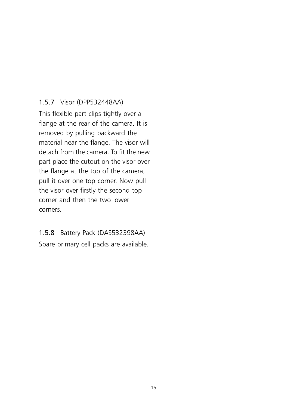#### 1.5.7 Visor (DPP532448AA)

This flexible part clips tightly over a flange at the rear of the camera. It is removed by pulling backward the material near the flange. The visor will detach from the camera. To fit the new part place the cutout on the visor over the flange at the top of the camera, pull it over one top corner. Now pull the visor over firstly the second top corner and then the two lower corners.

### 1.5.8 Battery Pack (DAS532398AA)

Spare primary cell packs are available.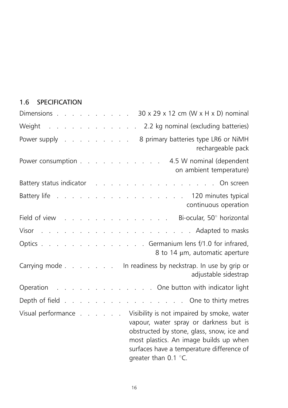#### 1.6 SPECIFICATION

| Dimensions 30 x 29 x 12 cm (W x H x D) nominal                                                                                                                                                                                                                      |
|---------------------------------------------------------------------------------------------------------------------------------------------------------------------------------------------------------------------------------------------------------------------|
| Weight 2.2 kg nominal (excluding batteries)                                                                                                                                                                                                                         |
| Power supply 8 primary batteries type LR6 or NiMH<br>rechargeable pack                                                                                                                                                                                              |
| Power consumption 4.5 W nominal (dependent<br>on ambient temperature)                                                                                                                                                                                               |
| Battery status indicator and a subset of the status of the status of the status of the status of the status of                                                                                                                                                      |
| Battery life 120 minutes typical<br>continuous operation                                                                                                                                                                                                            |
| Field of view Bi-ocular, 50° horizontal                                                                                                                                                                                                                             |
|                                                                                                                                                                                                                                                                     |
| Optics Germanium lens f/1.0 for infrared,<br>8 to 14 µm, automatic aperture                                                                                                                                                                                         |
| Carrying mode In readiness by neckstrap. In use by grip or<br>adjustable sidestrap                                                                                                                                                                                  |
| Operation One button with indicator light                                                                                                                                                                                                                           |
| Depth of field One to thirty metres                                                                                                                                                                                                                                 |
| Visual performance Visibility is not impaired by smoke, water<br>vapour, water spray or darkness but is<br>obstructed by stone, glass, snow, ice and<br>most plastics. An image builds up when<br>surfaces have a temperature difference of<br>greater than 0.1 °C. |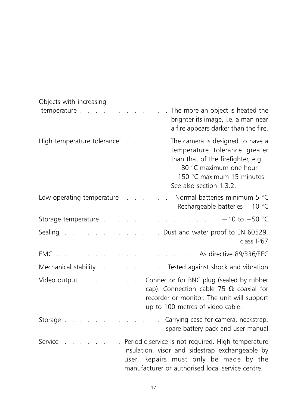| Objects with increasing           |                                                                                                                                                                                                       |
|-----------------------------------|-------------------------------------------------------------------------------------------------------------------------------------------------------------------------------------------------------|
| temperature.<br><b>Contractor</b> | The more an object is heated the<br>brighter its image, i.e. a man near<br>a fire appears darker than the fire.                                                                                       |
| High temperature tolerance        | The camera is designed to have a<br>temperature tolerance greater<br>than that of the firefighter, e.g.<br>80 °C maximum one hour<br>150 °C maximum 15 minutes<br>See also section 1.3.2.             |
| Low operating temperature         | Normal batteries minimum 5 °C<br>Rechargeable batteries $-10$ °C                                                                                                                                      |
| Storage temperature.              | $-10$ to $+50$ °C                                                                                                                                                                                     |
| Sealing .                         | . . Dust and water proof to EN 60529,<br>class IP67                                                                                                                                                   |
| EMC.                              | As directive 89/336/EEC                                                                                                                                                                               |
| Mechanical stability .            | . . Tested against shock and vibration                                                                                                                                                                |
|                                   | Video output Connector for BNC plug (sealed by rubber<br>cap). Connection cable 75 $\Omega$ coaxial for<br>recorder or monitor. The unit will support<br>up to 100 metres of video cable.             |
| Storage.                          | Carrying case for camera, neckstrap,<br>spare battery pack and user manual                                                                                                                            |
| Service                           | . Periodic service is not required. High temperature<br>insulation, visor and sidestrap exchangeable by<br>user. Repairs must only be made by the<br>manufacturer or authorised local service centre. |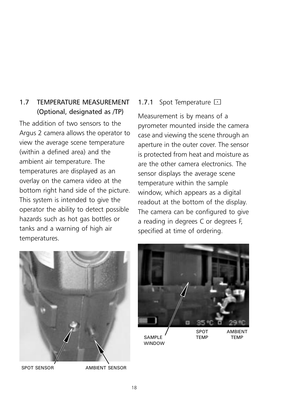#### 1.7 TEMPERATURE MEASUREMENT (Optional, designated as /TP)

The addition of two sensors to the Argus 2 camera allows the operator to view the average scene temperature (within a defined area) and the ambient air temperature. The temperatures are displayed as an overlay on the camera video at the bottom right hand side of the picture. This system is intended to give the operator the ability to detect possible hazards such as hot gas bottles or tanks and a warning of high air temperatures.

#### 1.7.1 Spot Temperature  $\Box$

Measurement is by means of a pyrometer mounted inside the camera case and viewing the scene through an aperture in the outer cover. The sensor is protected from heat and moisture as are the other camera electronics. The sensor displays the average scene temperature within the sample window, which appears as a digital readout at the bottom of the display. The camera can be configured to give a reading in degrees C or degrees F, specified at time of ordering.





TEMP

SAMPLE WINDOW AMBIENT **TFMP**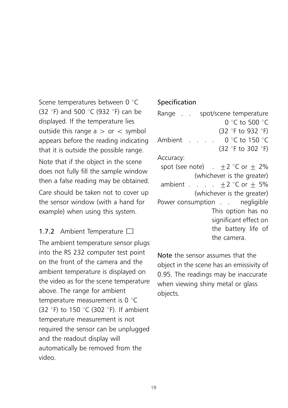Scene temperatures between 0 °C (32  $\degree$ F) and 500  $\degree$ C (932  $\degree$ F) can be displayed. If the temperature lies outside this range  $a > or <$  symbol appears before the reading indicating that it is outside the possible range. Note that if the object in the scene does not fully fill the sample window then a false reading may be obtained. Care should be taken not to cover up the sensor window (with a hand for example) when using this system.

#### 1.7.2 Ambient Temperature  $\Box$

The ambient temperature sensor plugs into the RS 232 computer test point on the front of the camera and the ambient temperature is displayed on the video as for the scene temperature above. The range for ambient temperature measurement is  $0^{\circ}C$ (32  $\degree$ F) to 150  $\degree$ C (302  $\degree$ F). If ambient temperature measurement is not required the sensor can be unplugged and the readout display will automatically be removed from the video.

#### Specification

Range . . spot/scene temperature  $0 °C$  to 500  $°C$ (32 °F to 932 °F) Ambient . . . .  $0^{\circ}$ C to 150 °C (32 $\degree$ F to 302 $\degree$ F) Accuracy: spot (see note)  $. +2 \degree$ C or  $+ 2\%$ (whichever is the greater) ambient . . .  $+2$  °C or  $+5\%$ (whichever is the greater) Power consumption . . negligible This option has no significant effect on the battery life of the camera.

Note the sensor assumes that the object in the scene has an emissivity of 0.95. The readings may be inaccurate when viewing shiny metal or glass objects.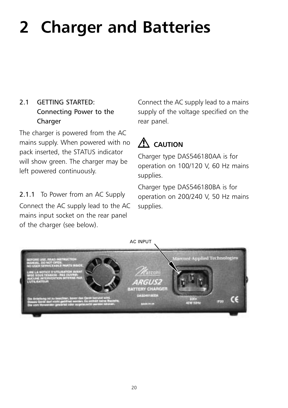# 2 Charger and Batteries

#### 2.1 GETTING STARTED: Connecting Power to the Charger

The charger is powered from the AC mains supply. When powered with no pack inserted, the STATUS indicator will show green. The charger may be left powered continuously.

2.1.1 To Power from an AC Supply Connect the AC supply lead to the AC mains input socket on the rear panel of the charger (see below).

Connect the AC supply lead to a mains supply of the voltage specified on the rear panel.

### $\Lambda$  CAUTION

Charger type DAS546180AA is for operation on 100/120 V, 60 Hz mains supplies.

Charger type DAS546180BA is for operation on 200/240 V, 50 Hz mains supplies.

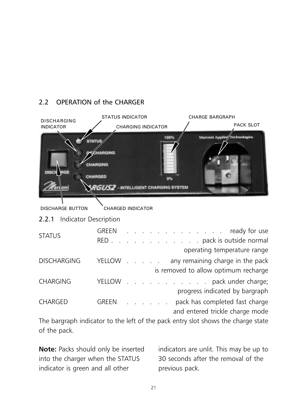#### 2.2 OPERATION of the CHARGER

| <b>DISCHARGING</b>             |                      | <b>STATUS INDICATOR</b>             | <b>CHARGE BARGRAPH</b>                                                   |  |
|--------------------------------|----------------------|-------------------------------------|--------------------------------------------------------------------------|--|
| <b>INDICATOR</b>               |                      | <b>CHARGING INDICATOR</b>           | <b>PACK SLOT</b>                                                         |  |
|                                | <b>HARGED</b>        | RGUS2 - INTELLIGENT CHARGING SYSTEM |                                                                          |  |
| <b>DISCHARGE BUTTON</b>        |                      | <b>CHARGED INDICATOR</b>            |                                                                          |  |
| Indicator Description<br>2.2.1 |                      |                                     |                                                                          |  |
| <b>STATUS</b>                  | <b>GREEN</b><br>RED. | and the contract of the contract of | ready for use<br>. pack is outside normal<br>operating temperature range |  |
| <b>DISCHARGING</b>             | <b>YELLOW</b>        |                                     | any remaining charge in the pack<br>is removed to allow optimum recharge |  |
| <b>CHARGING</b>                | YELLOW               |                                     | pack under charge;<br>progress indicated by bargraph                     |  |
| <b>CHARGED</b>                 | <b>GREEN</b>         |                                     | pack has completed fast charge<br>and entered trickle charge mode        |  |
|                                |                      |                                     |                                                                          |  |

The bargraph indicator to the left of the pack entry slot shows the charge state of the pack.

Note: Packs should only be inserted into the charger when the STATUS indicator is green and all other

indicators are unlit. This may be up to 30 seconds after the removal of the previous pack.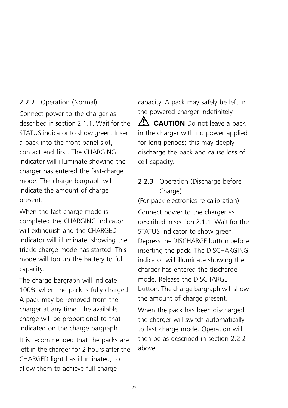#### 2.2.2 Operation (Normal)

Connect power to the charger as described in section 2.1.1. Wait for the STATUS indicator to show green. Insert a pack into the front panel slot, contact end first. The CHARGING indicator will illuminate showing the charger has entered the fast-charge mode. The charge bargraph will indicate the amount of charge present.

When the fast-charge mode is completed the CHARGING indicator will extinguish and the CHARGED indicator will illuminate, showing the trickle charge mode has started. This mode will top up the battery to full capacity.

The charge bargraph will indicate 100% when the pack is fully charged. A pack may be removed from the charger at any time. The available charge will be proportional to that indicated on the charge bargraph.

It is recommended that the packs are left in the charger for 2 hours after the CHARGED light has illuminated, to allow them to achieve full charge

capacity. A pack may safely be left in the powered charger indefinitely.

**CAUTION** Do not leave a pack in the charger with no power applied for long periods; this may deeply discharge the pack and cause loss of cell capacity.

#### 2.2.3 Operation (Discharge before Charge)

(For pack electronics re-calibration)

Connect power to the charger as described in section 2.1.1. Wait for the STATUS indicator to show green. Depress the DISCHARGE button before inserting the pack. The DISCHARGING indicator will illuminate showing the charger has entered the discharge mode. Release the DISCHARGE button. The charge bargraph will show the amount of charge present.

When the pack has been discharged the charger will switch automatically to fast charge mode. Operation will then be as described in section 2.2.2 above.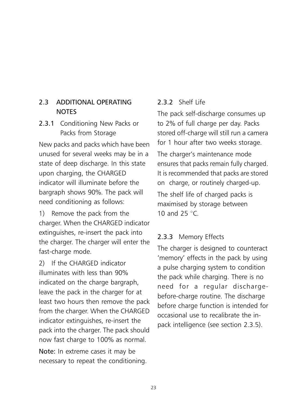#### 2.3 ADDITIONAL OPERATING **NOTES**

#### 2.3.1 Conditioning New Packs or Packs from Storage

New packs and packs which have been unused for several weeks may be in a state of deep discharge. In this state upon charging, the CHARGED indicator will illuminate before the bargraph shows 90%. The pack will need conditioning as follows:

1) Remove the pack from the charger. When the CHARGED indicator extinguishes, re-insert the pack into the charger. The charger will enter the fast-charge mode.

2) If the CHARGED indicator illuminates with less than 90% indicated on the charge bargraph, leave the pack in the charger for at least two hours then remove the pack from the charger. When the CHARGED indicator extinguishes, re-insert the pack into the charger. The pack should now fast charge to 100% as normal.

Note: In extreme cases it may be necessary to repeat the conditioning.

#### 2.3.2 Shelf Life

The pack self-discharge consumes up to 2% of full charge per day. Packs stored off-charge will still run a camera for 1 hour after two weeks storage.

The charger's maintenance mode ensures that packs remain fully charged. It is recommended that packs are stored on charge, or routinely charged-up.

The shelf life of charged packs is maximised by storage between 10 and 25  $\degree$ C.

#### 2.3.3 Memory Effects

The charger is designed to counteract 'memory' effects in the pack by using a pulse charging system to condition the pack while charging. There is no need for a regular dischargebefore-charge routine. The discharge before charge function is intended for occasional use to recalibrate the inpack intelligence (see section 2.3.5).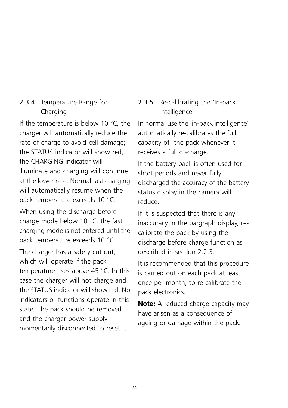#### 2.3.4 Temperature Range for Charging

If the temperature is below 10 $\degree$ C, the charger will automatically reduce the rate of charge to avoid cell damage; the STATUS indicator will show red, the CHARGING indicator will illuminate and charging will continue at the lower rate. Normal fast charging will automatically resume when the pack temperature exceeds 10  $^{\circ}$ C.

When using the discharge before charge mode below 10 $\degree$ C, the fast charging mode is not entered until the pack temperature exceeds 10 $\degree$ C.

The charger has a safety cut-out, which will operate if the pack temperature rises above 45  $\degree$ C. In this case the charger will not charge and the STATUS indicator will show red. No indicators or functions operate in this state. The pack should be removed and the charger power supply momentarily disconnected to reset it.

#### 2.3.5 Re-calibrating the 'In-pack Intelligence'

In normal use the 'in-pack intelligence' automatically re-calibrates the full capacity of the pack whenever it receives a full discharge.

If the battery pack is often used for short periods and never fully discharged the accuracy of the battery status display in the camera will reduce.

If it is suspected that there is any inaccuracy in the bargraph display, recalibrate the pack by using the discharge before charge function as described in section 2.2.3.

It is recommended that this procedure is carried out on each pack at least once per month, to re-calibrate the pack electronics.

Note: A reduced charge capacity may have arisen as a consequence of ageing or damage within the pack.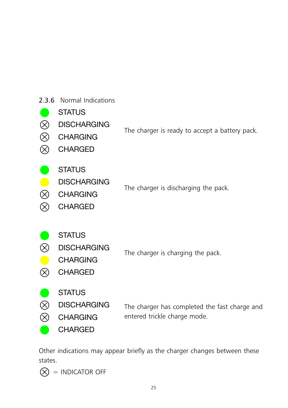| 2.3.6                                      | Normal Indications                                                       |                                                                               |
|--------------------------------------------|--------------------------------------------------------------------------|-------------------------------------------------------------------------------|
| $\otimes$<br>$\otimes$<br>$\tilde{\infty}$ | <b>STATUS</b><br><b>DISCHARGING</b><br><b>CHARGING</b><br><b>CHARGED</b> | The charger is ready to accept a battery pack.                                |
| $\otimes$<br>$\times$                      | <b>STATUS</b><br><b>DISCHARGING</b><br><b>CHARGING</b><br><b>CHARGED</b> | The charger is discharging the pack.                                          |
| $\otimes$<br>R                             | <b>STATUS</b><br><b>DISCHARGING</b><br><b>CHARGING</b><br><b>CHARGED</b> | The charger is charging the pack.                                             |
| $\otimes$<br>$\otimes$                     | <b>STATUS</b><br><b>DISCHARGING</b><br><b>CHARGING</b><br><b>CHARGED</b> | The charger has completed the fast charge and<br>entered trickle charge mode. |

Other indications may appear briefly as the charger changes between these states.

 $\bigotimes$  = INDICATOR OFF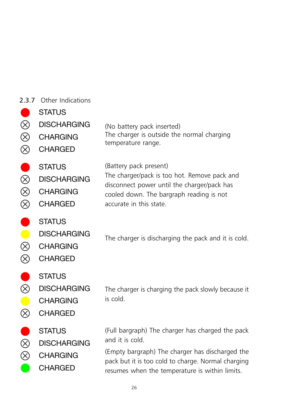|  | 2.3.7 Other Indications |
|--|-------------------------|
|  |                         |

| $\otimes$<br>$\otimes$<br>$\circledS$               | <b>STATUS</b><br><b>DISCHARGING</b><br><b>CHARGING</b><br><b>CHARGED</b> | (No battery pack inserted)<br>The charger is outside the normal charging<br>temperature range.                                                                                                                                 |
|-----------------------------------------------------|--------------------------------------------------------------------------|--------------------------------------------------------------------------------------------------------------------------------------------------------------------------------------------------------------------------------|
| 0<br>$\overline{\otimes}$<br>$\otimes$<br>$\otimes$ | <b>STATUS</b><br><b>DISCHARGING</b><br><b>CHARGING</b><br><b>CHARGED</b> | (Battery pack present)<br>The charger/pack is too hot. Remove pack and<br>disconnect power until the charger/pack has<br>cooled down. The bargraph reading is not<br>accurate in this state.                                   |
| $\bullet$<br>$\otimes$<br>$\otimes$                 | <b>STATUS</b><br><b>DISCHARGING</b><br><b>CHARGING</b><br><b>CHARGED</b> | The charger is discharging the pack and it is cold.                                                                                                                                                                            |
| D<br>$\bigotimes$<br>$\blacksquare$<br>$\otimes$    | <b>STATUS</b><br><b>DISCHARGING</b><br><b>CHARGING</b><br><b>CHARGED</b> | The charger is charging the pack slowly because it<br>is cold.                                                                                                                                                                 |
| $\bigotimes$<br>$\otimes$                           | <b>STATUS</b><br><b>DISCHARGING</b><br><b>CHARGING</b><br><b>CHARGED</b> | (Full bargraph) The charger has charged the pack<br>and it is cold.<br>(Empty bargraph) The charger has discharged the<br>pack but it is too cold to charge. Normal charging<br>resumes when the temperature is within limits. |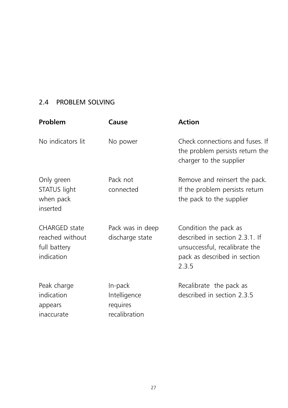#### 2.4 PROBLEM SOLVING

| Problem                                                               | Cause                                                | <b>Action</b>                                                                                                                     |
|-----------------------------------------------------------------------|------------------------------------------------------|-----------------------------------------------------------------------------------------------------------------------------------|
| No indicators lit                                                     | No power                                             | Check connections and fuses. If<br>the problem persists return the<br>charger to the supplier                                     |
| Only green<br>STATUS light<br>when pack<br>inserted                   | Pack not<br>connected                                | Remove and reinsert the pack.<br>If the problem persists return<br>the pack to the supplier                                       |
| <b>CHARGED</b> state<br>reached without<br>full battery<br>indication | Pack was in deep<br>discharge state                  | Condition the pack as<br>described in section 2.3.1. If<br>unsuccessful, recalibrate the<br>pack as described in section<br>2.3.5 |
| Peak charge<br>indication<br>appears<br>inaccurate                    | In-pack<br>Intelligence<br>requires<br>recalibration | Recalibrate the pack as<br>described in section 2.3.5                                                                             |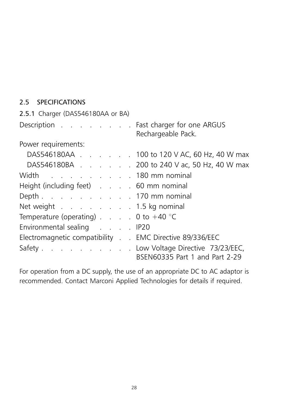#### 2.5 SPECIFICATIONS

| 2.5.1 Charger (DAS546180AA or BA)                      |  |                                                                           |  |  |  |  |  |
|--------------------------------------------------------|--|---------------------------------------------------------------------------|--|--|--|--|--|
| Description Fast charger for one ARGUS                 |  | Rechargeable Pack.                                                        |  |  |  |  |  |
| Power requirements:                                    |  |                                                                           |  |  |  |  |  |
|                                                        |  | DAS546180AA 100 to 120 V AC, 60 Hz, 40 W max                              |  |  |  |  |  |
|                                                        |  | DAS546180BA 200 to 240 V ac, 50 Hz, 40 W max                              |  |  |  |  |  |
| Width 180 mm nominal                                   |  |                                                                           |  |  |  |  |  |
| Height (including feet) 60 mm nominal                  |  |                                                                           |  |  |  |  |  |
| Depth 170 mm nominal                                   |  |                                                                           |  |  |  |  |  |
| Net weight 1.5 kg nominal                              |  |                                                                           |  |  |  |  |  |
| Temperature (operating) $\ldots$ $\ldots$ 0 to +40 °C  |  |                                                                           |  |  |  |  |  |
| Environmental sealing IP20                             |  |                                                                           |  |  |  |  |  |
| Electromagnetic compatibility EMC Directive 89/336/EEC |  |                                                                           |  |  |  |  |  |
|                                                        |  | Safety Low Voltage Directive 73/23/EEC,<br>BSEN60335 Part 1 and Part 2-29 |  |  |  |  |  |

For operation from a DC supply, the use of an appropriate DC to AC adaptor is recommended. Contact Marconi Applied Technologies for details if required.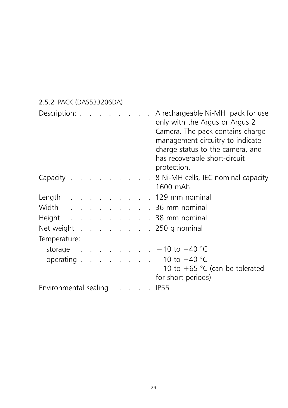| 2.5.2 PACK (DAS533206DA)                                                                                                                                                                                                       |  |  |  |  |                             |                                                                                                                                                                                                                                 |                                                                                                                            |
|--------------------------------------------------------------------------------------------------------------------------------------------------------------------------------------------------------------------------------|--|--|--|--|-----------------------------|---------------------------------------------------------------------------------------------------------------------------------------------------------------------------------------------------------------------------------|----------------------------------------------------------------------------------------------------------------------------|
| Description: Note that the set of the set of the set of the set of the set of the set of the set of the set of the set of the set of the set of the set of the set of the set of the set of the set of the set of the set of t |  |  |  |  | $\mathcal{L}^{\mathcal{L}}$ | A rechargeable Ni-MH pack for use<br>only with the Argus or Argus 2<br>Camera. The pack contains charge<br>management circuitry to indicate<br>charge status to the camera, and<br>has recoverable short-circuit<br>protection. |                                                                                                                            |
|                                                                                                                                                                                                                                |  |  |  |  |                             |                                                                                                                                                                                                                                 | Capacity 8 Ni-MH cells, IEC nominal capacity<br>1600 mAh                                                                   |
|                                                                                                                                                                                                                                |  |  |  |  |                             |                                                                                                                                                                                                                                 | Length 129 mm nominal                                                                                                      |
|                                                                                                                                                                                                                                |  |  |  |  |                             |                                                                                                                                                                                                                                 | Width 36 mm nominal                                                                                                        |
|                                                                                                                                                                                                                                |  |  |  |  |                             |                                                                                                                                                                                                                                 | Height 38 mm nominal                                                                                                       |
|                                                                                                                                                                                                                                |  |  |  |  |                             |                                                                                                                                                                                                                                 | Net weight 250 g nominal                                                                                                   |
| Temperature:                                                                                                                                                                                                                   |  |  |  |  |                             |                                                                                                                                                                                                                                 |                                                                                                                            |
|                                                                                                                                                                                                                                |  |  |  |  |                             |                                                                                                                                                                                                                                 | storage - 10 to +40 °C                                                                                                     |
|                                                                                                                                                                                                                                |  |  |  |  |                             |                                                                                                                                                                                                                                 | operating $\ldots$ $\ldots$ $\ldots$ $\ldots$ $-10$ to $+40$ °C<br>$-10$ to +65 °C (can be tolerated<br>for short periods) |
| Environmental sealing IP55                                                                                                                                                                                                     |  |  |  |  |                             |                                                                                                                                                                                                                                 |                                                                                                                            |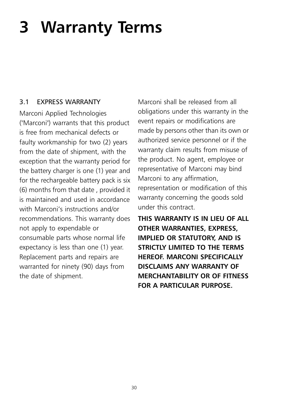# 3 Warranty Terms

#### 3.1 EXPRESS WARRANTY

Marconi Applied Technologies ("Marconi") warrants that this product is free from mechanical defects or faulty workmanship for two (2) years from the date of shipment, with the exception that the warranty period for the battery charger is one (1) year and for the rechargeable battery pack is six (6) months from that date , provided it is maintained and used in accordance with Marconi's instructions and/or recommendations. This warranty does not apply to expendable or consumable parts whose normal life expectancy is less than one (1) year. Replacement parts and repairs are warranted for ninety (90) days from the date of shipment.

Marconi shall be released from all obligations under this warranty in the event repairs or modifications are made by persons other than its own or authorized service personnel or if the warranty claim results from misuse of the product. No agent, employee or representative of Marconi may bind Marconi to any affirmation, representation or modification of this warranty concerning the goods sold under this contract.

THIS WARRANTY IS IN LIEU OF ALL OTHER WARRANTIES, EXPRESS, IMPLIED OR STATUTORY, AND IS STRICTLY LIMITED TO THE TERMS HEREOF. MARCONI SPECIFICALLY DISCI AIMS ANY WARRANTY OF MERCHANTABILITY OR OF FITNESS FOR A PARTICULAR PURPOSE.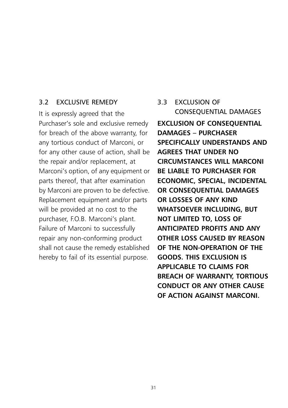#### 3.2 EXCLUSIVE REMEDY

It is expressly agreed that the Purchaser's sole and exclusive remedy for breach of the above warranty, for any tortious conduct of Marconi, or for any other cause of action, shall be the repair and/or replacement, at Marconi's option, of any equipment or parts thereof, that after examination by Marconi are proven to be defective. Replacement equipment and/or parts will be provided at no cost to the purchaser, F.O.B. Marconi's plant. Failure of Marconi to successfully repair any non-conforming product shall not cause the remedy established hereby to fail of its essential purpose.

#### 3.3 EXCLUSION OF CONSEQUENTIAL DAMAGES

EXCLUSION OF CONSEQUENTIAL DAMAGES – PURCHASER SPECIFICALLY UNDERSTANDS AND AGREES THAT UNDER NO CIRCUMSTANCES WILL MARCONI BE LIABLE TO PURCHASER FOR ECONOMIC, SPECIAL, INCIDENTAL OR CONSEQUENTIAL DAMAGES OR LOSSES OF ANY KIND WHATSOEVER INCLUDING, BUT NOT LIMITED TO, LOSS OF ANTICIPATED PROFITS AND ANY OTHER LOSS CAUSED BY REASON OF THE NON-OPERATION OF THE GOODS. THIS EXCLUSION IS APPLICABLE TO CLAIMS FOR BREACH OF WARRANTY, TORTIOUS CONDUCT OR ANY OTHER CAUSE OF ACTION AGAINST MARCONI.